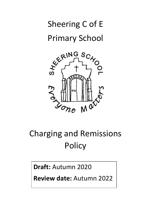# Sheering C of E Primary School



# Charging and Remissions **Policy**

**Draft:** Autumn 2020

**Review date:** Autumn 2022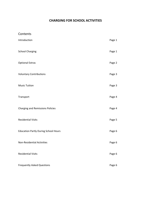## **CHARGING FOR SCHOOL ACTIVITIES**

## Contents

| Introduction                                | Page 1 |
|---------------------------------------------|--------|
| <b>School Charging</b>                      | Page 1 |
| <b>Optional Extras</b>                      | Page 2 |
| <b>Voluntary Contributions</b>              | Page 3 |
| <b>Music Tuition</b>                        | Page 3 |
| Transport                                   | Page 4 |
| <b>Charging and Remissions Policies</b>     | Page 4 |
| <b>Residential Visits</b>                   | Page 5 |
| <b>Education Partly During School Hours</b> | Page 6 |
| <b>Non-Residential Activities</b>           | Page 6 |
| <b>Residential Visits</b>                   | Page 6 |
| <b>Frequently Asked Questions</b>           | Page 6 |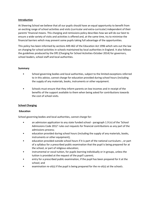#### **Introduction**

At Sheering School we believe that all our pupils should have an equal opportunity to benefit from an exciting range of school activities and visits (curricular and extra-curricular) independent of their parents' financial means. This charging and remissions policy describes how we will do our best to ensure a wide variety of visits and activities is offered and, at the same time, try to minimise the financial barriers which may prevent some pupils taking full advantage of the opportunities.

This policy has been informed by sections 449-462 of the Education Act 1996 which sets out the law on charging for school activities in schools maintained by local authorities in England. It also follows the guidelines produced by the DfE (Charging for School Activities-October 2014) for governors, school leaders, school staff and local authorities.

#### **Summary**

- School governing bodies and local authorities, subject to the limited exceptions referred to in this advice, cannot charge for education provided during school hours (including the supply of any materials, books, instruments or other equipment.
- Schools must ensure that they inform parents on low incomes and in receipt of the benefits of the support available to them when being asked for contributions towards the cost of school visits.

#### **School Charging**

#### **Education**

School governing bodies and local authorities, cannot charge for:

- an admission application to any state funded school paragraph 1.9 (n) of the 'School Admissions Code 2012' rules out requests for financial contributions as any part of the admissions process;
- education provided during school hours (including the supply of any materials, books, instruments or other equipment);
- education provided outside school hours if it is part of the national curriculum1 , or part of a syllabus for a prescribed public examination that the pupil is being prepared for at the school, or part of religious education;
- instrumental or vocal tuition, for pupils learning individually or in groups, unless the tuition is provided at the request of the pupil's parent;
- entry for a prescribed public examination, if the pupil has been prepared for it at the school; and
- examination re-sit(s) if the pupil is being prepared for the re-sit(s) at the school2.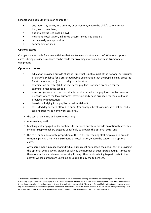Schools and local authorities can charge for:

- any materials, books, instruments, or equipment, where the child's parent wishes him/her to own them;
- optional extras (see page below);
- music and vocal tuition, in limited circumstances (see page 6);
- certain early years provision;
- community facilities.

#### **Optional Extras**

Charges may be made for some activities that are known as 'optional extras'. Where an optional extra is being provided, a charge can be made for providing materials, books, instruments, or equipment.

#### **Optional extras are**:

- education provided outside of school time that is not: a) part of the national curriculum; b) part of a syllabus for a prescribed public examination that the pupil is being prepared for at the school; or c) part of religious education.
- examination entry fee(s) if the registered pupil has not been prepared for the examination(s) at the school;
- transport (other than transport that is required to take the pupil to school or to other premises where the local authority/governing body have arranged for the pupil to be provided with education);
- board and lodging for a pupil on a residential visit;
- extended day services offered to pupils (for example breakfast club, after-school clubs, tea and supervised homework sessions).
- the cost of buildings and accommodation;
- non-teaching staff;
- teaching staff engaged under contracts for services purely to provide an optional extra, this includes supply teachers engaged specifically to provide the optional extra; and
- the cost, or an appropriate proportion of the costs, for teaching staff employed to provide tuition in playing a musical instrument, or vocal tuition, where the tuition is an optional extra.

Any charge made in respect of individual pupils must not exceed the actual cost of providing the optional extra activity, divided equally by the number of pupils participating. It must not therefore include an element of subsidy for any other pupils wishing to participate in the activity whose parents are unwilling or unable to pay the full charge.

<sup>1</sup> It should be noted that 'part of the national curriculum' is not restricted to learning outside the classroom experiences that are specifically subject based (e.g. geography or science fieldwork) and include, for example, activities designed to fulfil requirements under the national curriculum 'inclusion statement' (e.g. developing teamwork skills). 2 However, if a pupil fails, without good reason, to meet any examination requirement for a syllabus, the fee can be recovered from the pupil's parents. 3 The Education (Charges for Early Years Provision) Regulations 2012 4 The powers to provide community facilities are under s.27(1) of the Education Act.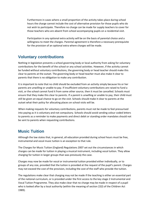Furthermore in cases where a small proportion of the activity takes place during school hours the charge cannot include the cost of alternative provision for those pupils who do not wish to participate. Therefore no charge can be made for supply teachers to cover for those teachers who are absent from school accompanying pupils on a residential visit.

Participation in any optional extra activity will be on the basis of parental choice and a willingness to meet the charges. Parental agreement is therefore a necessary prerequisite for the provision of an optional extra where charges will be made.

## **Voluntary contributions**

Nothing in legislation prevents a school governing body or local authority from asking for voluntary contributions for the benefit of the school or any school activities. However, if the activity cannot be funded without voluntary contributions, the governing body or head teacher should make this clear to parents at the outset. The governing body or head teacher must also make it clear to parents that there is no obligation to make any contribution.

It is important to note that no child should be excluded from an activity simply because his or her parents are unwilling or unable to pay. If insufficient voluntary contributions are raised to fund a visit, or the school cannot fund it from some other source, then it must be cancelled. Schools must ensure that they make this clear to parents. If a parent is unwilling or unable to pay, their child must still be given an equal chance to go on the visit. Schools should make it clear to parents at the outset what their policy for allocating places on school visits will be.

When making requests for voluntary contributions, parents must not be made to feel pressurised into paying as it is voluntary and not compulsory. Schools should avoid sending colour coded letters to parents as a reminder to make payments and direct debit or standing order mandates should not be sent to parents when requesting contributions.

# **Music Tuition**

Although the law states that, in general, all education provided during school hours must be free, instrumental and vocal music tuition is an exception to that rule.

The Charges for Music Tuition (England) Regulations 2007 set out the circumstances in which charges can be made for tuition in playing a musical instrument, including vocal tuition. They allow charging for tuition in larger groups than was previously the case.

Charges may now be made for vocal or instrumental tuition provided either individually, or to groups of any size, provided that the tuition is provided at the request of the pupil's parent. Charges may not exceed the cost of the provision, including the cost of the staff who provide the tuition.

The regulations make clear that charging may not be made if the teaching is either an essential part of the national curriculum, or is provided under the first access to the key stage 2 Instrumental and Vocal Tuition Programme. They also make clear that no charge may be made in respect of a pupil who is looked after by a local authority (within the meaning of section 22(l) of the Children Act 1989).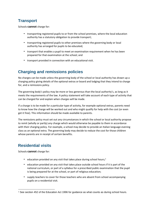# **Transport**

Schools **cannot** charge for:

- transporting registered pupils to or from the school premises, where the local education authority has a statutory obligation to provide transport;
- transporting registered pupils to other premises where the governing body or local authority has arranged for pupils to be educated;
- transport that enables a pupil to meet an examination requirement when he has been prepared for that examination at the school; and
- transport provided in connection with an educational visit.

# **Charging and remissions policies**

No charges can be made unless the governing body of the school or local authority has drawn up a charging policy giving details of the optional extras or board and lodging that they intend to charge for, and a remissions policy.

The governing body's policy may be more or less generous than the local authority's, as long as it meets the requirements of the law. A policy statement will take account of each type of activity that can be charged for and explain when charges will be made.

If a charge is to be made for a particular type of activity, for example optional extras, parents need to know how the charge will be worked out and who might qualify for help with the cost (or even get it free). This information should be made available to parents.

The remissions policy must set out any circumstances in which the school or local authority propose to remit (wholly or partly) any charge which would otherwise be payable to them in accordance with their charging policy. For example, a school may decide to provide an Italian language evening class as an optional extra. The governing body may decide to reduce the cost for those children whose parents are in receipt of certain benefits.

# **Residential visits**

Schools **cannot** charge for:

- education provided on any visit that takes place during school hours;<sup>1</sup>
- education provided on any visit that takes place outside school hours if it is part of the national curriculum, or part of a syllabus for a prescribed public examination that the pupil is being prepared for at the school, or part of religious education;
- supply teachers to cover for those teachers who are absent from school accompanying pupils on a residential visit.

<sup>1</sup> See section 452 of the Education Act 1996 for guidance as what counts as during school hours.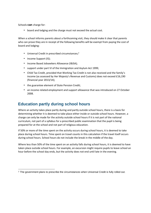Schools **can** charge for:

• board and lodging and the charge must not exceed the actual cost.

When a school informs parents about a forthcoming visit, they should make it clear that parents who can prove they are in receipt of the following benefits will be exempt from paying the cost of board and lodging:

- Universal Credit in prescribed circumstances;<sup>2</sup>
- Income Support (IS);
- Income Based Jobseekers Allowance (IBJSA);
- support under part VI of the Immigration and Asylum Act 1999;
- Child Tax Credit, provided that Working Tax Credit is not also received and the family's income (as assessed by Her Majesty's Revenue and Customs) does not exceed £16,190 (financial year 2013/14);
- the guarantee element of State Pension Credit;
- an income related employment and support allowance that was introduced on 27 October 2008.

# **Education partly during school hours**

Where an activity takes place partly during and partly outside school hours, there is a basis for determining whether it is deemed to take place either inside or outside school hours. However, a charge can only be made for the activity outside school hours if it is not part of the national curriculum, not part of a syllabus for a prescribed public examination that the pupil is being prepared for at the school and not part of religious education.

If 50% or more of the time spent on the activity occurs during school hours, it is deemed to take place during school hours. Time spent on travel counts in this calculation if the travel itself occurs during school hours. School hours do not include the break in the middle of the day.

Where less than 50% of the time spent on an activity falls during school hours, it is deemed to have taken place outside school hours. For example, an excursion might require pupils to leave school an hour before the school day ends, but the activity does not end until late in the evening.

<sup>&</sup>lt;sup>2</sup> The government plans to prescribe the circumstances when Universal Credit is fully rolled out.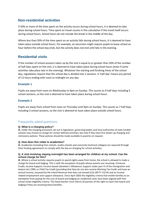## **Non-residential activities**

If 50% or more of the time spent on the activity occurs during school hours, it is deemed to take place during school hours. Time spent on travel counts in this calculation if the travel itself occurs during school hours. School hours do not include the break in the middle of the day.

Where less than 50% of the time spent on an activity falls during school hours, it is deemed to have taken place outside school hours. For example, an excursion might require pupils to leave school an hour before the school day ends, but the activity does not end until late in the evening.

## **Residential visits**

If the number of school sessions taken up by the visit is equal to or greater than 50% of the number of half days spent on the visit, it is deemed to have taken place during school hours (even if some activities take place late in the evening). Whatever the starting and finishing times of the school day, regulations require that the school day is divided into 2 sessions. A 'half day' means any period of 12 hours ending with noon or midnight on any day.

### **Example 1**

Pupils are away from noon on Wednesday to 9pm on Sunday. This counts as 9 half days including 5 school sessions, so the visit is deemed to have taken place during school hours.

#### **Example 2**

Pupils are away from school from noon on Thursday until 9pm on Sunday. This counts as 7 half days including 3 school sessions, so the visit is deemed to have taken place outside school hours.

## Frequently asked questions

#### **Q. What is a charging policy?**

**A.** Under the charging provisions set out in legislation, governing bodies and local authorities of state funded schools may choose to charge for certain defined activities, but only if they have first drawn up charging and remissions policies. These policies should be made available to parents on request.

#### **Q. How does this relate to academies?**

**A.** Academies (including free schools, studio schools and university technical colleges) are required through their funding agreements to comply with the law on charging for school activities.

#### **Q. A visit involving staying overnight has been arranged for children at my school. Can the school charge for this?**

**A.** Where a school activity requires pupils to spend nights away from home, the school is allowed to make a charge for board and lodging. This is with the exception of pupils whose parents are receiving: Universal Credit; Income Support; Income-based Jobseeker's Allowance; Support under part VI of the Immigration and Asylum Act 1999; or Child Tax Credit (providing that they do not also receive Working Tax Credit and have an annual income, assessed by the Inland Revenue that does not exceed £16,190 FY 13/14) and an income related employment and support allowance. Since April 2003 the eligibility criteria that entitle families to an exemption from paying for the cost of board and lodging on residential visits have been aligned with free school meals eligibility criteria. The head teacher must inform all parents of the right to claim free board and lodging if they are receiving these benefits.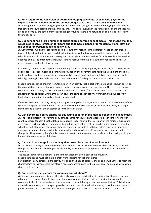#### **Q. With regard to the remission of board and lodging payments, explain who pays for the expense? Would it come out of the school budget or is there a grant available to claim?**

**A.** Although the criteria for being eligible for the remission of charges for board and lodgings is the same as free school meals, that is where the similarity ends. The costs involved in the remission of board and lodgings are to be borne by the school from their contingency funds. There is no return to be completed to re-claim the money back.

#### **Q. Our school has a large number of pupils eligible for free school meals. This means that they would also receive remission for board and lodgings expenses for residential visits. How can the school fund/organise residential visits?**

**A.** Government funding for schools to each local authority recognises the different needs of each area. In terms of the allocation to schools, each local authority sets a funding formula which is agreed with the local schools forum. All local authorities are required to include an element in their formula to reflect the needs of deprived pupils. The amount that individual schools receive from the local authority reflects their relative need compared with other local schools.

In addition, schools receive pupil premium funding for disadvantaged pupils, based largely on those who are eligible for free school meals. This funding is provided by the government to raise the attainment of eligible pupils and narrow the attainment gap between eligible pupils and their peers. It is for head teachers and school governing bodies to decide how to use their formula funding and pupil premium allocation.

Schools cannot exclude children from taking part in an activity that is part of the national curriculum purely on the grounds that the parent or carer cannot make, or refuses to make, a contribution. This can clearly place schools in some difficulty on occasions where a number of parents/carers might be in such a position. The school then has to decide whether they can cover the costs of such activity from within the budget or by fundraising, or whether the activity has to be cancelled.

If there is a residential activity taking place largely during school time, or which meets the requirements of the syllabus for a public examination, or is to do with the national curriculum or religious education, no charge may be made either for the education or for the cost of travel.

#### **Q. Can governing bodies charge for educating children in maintained schools and academies?**

**A.** The local authority or governing body cannot charge for education that takes place in school hours. Nor can they charge for activities that take place outside school hours if these are part of the national curriculum, necessary as part of a syllabus for a prescribed public examination that the pupil is being prepared for at the school, or part of religious education. They can charge for permitted 'optional extras', provided they have drawn up a statement of general policy on charging and given details of 'optional extras' they intend to charge for. The governing body's policy does not have to be the same as the local authority's policy, as long as it meets the requirements of the law.

#### **Q. Can a school charge for an activity that takes place out of school hours?**

**A.** This kind of activity is often referred to as an 'optional extra'. Where an optional extra is being provided, a charge can be made for providing materials, books, instruments, or equipment. See advice on optional extras on page 4.

The actual charge for the optional extra cannot exceed the actual cost of the provision.

Schools cannot and must not make a profit from charging for optional extras.

Participation in any optional extra activity will be on the basis of parental choice and a willingness to meet the charges. Parental agreement is therefore a necessary prerequisite for the provision of an optional extra where charges will be made.

#### **Q. Can a school ask parents for voluntary contributions?**

**A.** Schools may invite parents and others to make voluntary contributions to make school funds go further. All requests to parents for voluntary contributions must make it clear that the contributions would be voluntary. It should be remembered that education provided during school hours must be free. This includes materials, equipment, and transport provided in school hours by the local authority or by the school to carry pupils between the school and an activity. Governing bodies should also clearly explain that children of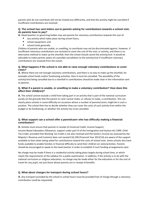parents who do not contribute will not be treated any differently, and that the activity might be cancelled if insufficient contributions are received.

#### **Q. The school has sent letters out to parents asking for contributions towards a school visit, do parents have to pay?**

**A.** Head teachers or governing bodies may ask parents for voluntary contributions towards the cost of:

- any activity which takes place during school hours;
- school equipment; and
- school funds generally.

Children of parents who are unable, or unwilling, to contribute may not be discriminated against. However, if insufficient voluntary contributions are received to cover the cost of the visit, or activity, and there is no alternative method to make up the shortfall, then the school should cancel the activity/visit. It would be advisable to make parents aware of a possible cancellation to the activity/visit if insufficient voluntary contributions are received from the outset.

#### **Q. What happens if the school is not able to raise enough voluntary contributions to cover costs?**

**A.** Where there are not enough voluntary contributions, and there is no way to make up the shortfall, for example school funds and/or fundraising activities, then it must be cancelled. The possibility of the activity/visit being cancelled due to a shortfall in contributions should be made clear in the information sent to parents.

#### **Q. What if a parent is unable, or unwilling to make a voluntary contribution? How does this affect their child(ren)?**

**A.** The school cannot exclude a child from taking part in an activity that is part of the national curriculum purely on the grounds that the parent or carer cannot make, or refuses to make, a contribution. This can clearly place schools in some difficulty on occasions where a number of parents/carers might be in such a position. The school then has to decide whether they can cover the costs of such activity from within the budget or by fundraising, or whether the activity has to be cancelled.

#### **Q. What support can a school offer a parent/carer who has difficulty making a financial contribution?**

**A.** Schools must ensure that parents in receipt of Universal Credit, Income Support,

Income Based Jobseekers Allowance, support under part VI of the Immigration and Asylum Act 1999, Child Tax Credit, provided that Working Tax Credit is not also received and the family's income (as assessed by Her Majesty's Revenue and Customs) does not exceed £16,190 (Financial Year 2013/14) are aware of the support available to then when being asked for contributions toward the costs of school visits. Some schools also have funds available to enable families in financial difficulty to send their children on visits/activities. Parents should be encouraged to speak to the head teacher in order to establish if such funding arrangements exist.

No charge may be made if there is a residential activity taking place largely during school time, or which meets the requirements of the syllabus for a public examination. In addition, if the activity is to do with the national curriculum or religious education, no charge may be made either for the education or for the cost of travel for any pupil, not just those whose parents are in receipt of benefits.

#### **Q. What about charges for transport during school hours?**

**A.** Any transport provided by the school in school hours must be provided free of charge (though a voluntary contribution could be requested).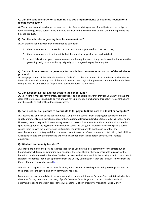#### **Q. Can the school charge for something like cooking ingredients or materials needed for a technology lesson?**

**A.** The school can make a charge to cover the costs of materials/ingredients for subjects such as design or food technology where parents have indicated in advance that they would like their child to bring home the finished product.

#### **Q. Can the school charge entry fees for examinations?**

**A.** An examination entry fee may be charged to parents if:

- the examination is on the set list, but the pupil was not prepared for it at the school;
- the examination is not on the set list but the school arranges for the pupil to take it:
- a pupil fails without good reason to complete the requirements of any public examination where the governing body or local authority originally paid or agreed to pay the entry fee.

#### **Q. Can a school make a charge to pay for the administration required as part of the admission process?**

**A.** Paragraph 1.9 (n) of the 'Schools Admission Code 2012' rules out requests from admission authorities for financial contributions as any part of the admissions process. Legislation prevents state funded schools from charging fees for admission or for providing education during school hours.

#### **Q. Can a school ask for a direct debit to the school fund?**

**A.** No. A school may ask for voluntary contributions, as long as it is clear that they are voluntary, but we are clear that state education should be free and we have no intention of changing this policy. No contributions may be sought as part of the admissions process.

#### **Q. Can a school ask parents to contribute to (or pay in full) the cost of a tablet or computer?**

**A.** Sections 451 and 454 of the Education Act 1996 prohibits schools from charging for education and the supply of materials, books, instruments or other equipment (this would include tablets), during school hours. However, there is no prohibition on asking parents to make voluntary contributions. Additionally, there is a specific exception in the legislation which enables schools to charge for materials where the pupil's parent wishes them to own the materials. All contribution requests to parents must make clear that the contributions are voluntary and that, if a parent cannot make or refuses to make a contribution, their children will not be treated any differently and will not be excluded from taking part in any activity or related equipment.

#### **Q. What are community facilities?**

**A.** Schools are allowed to provide facilities that can be used by the local community, for example out-of hours/holiday childcare or swimming pool sessions. These facilities further any charitable purpose for the benefit of pupils at the school or their families, or people who live or work in the locality in which the school is situated. Academies should seek guidance from the Charity Commission if they are in doubt. Advice from the Charity Commission can be found [here.](https://www.gov.uk/government/organisations/charity-commission)

Schools can charge for the use of these facilities, and a profit can also be generated, providing it is spent on the purposes of the school and or on community facilities.

Maintained schools should check the local authority's published financial "scheme" for maintained schools in their area for any rules about the carry of profit from one financial year to the next. Academies should determine fees and charges in accordance with chapter 6 of HM Treasury's Managing Public Money.